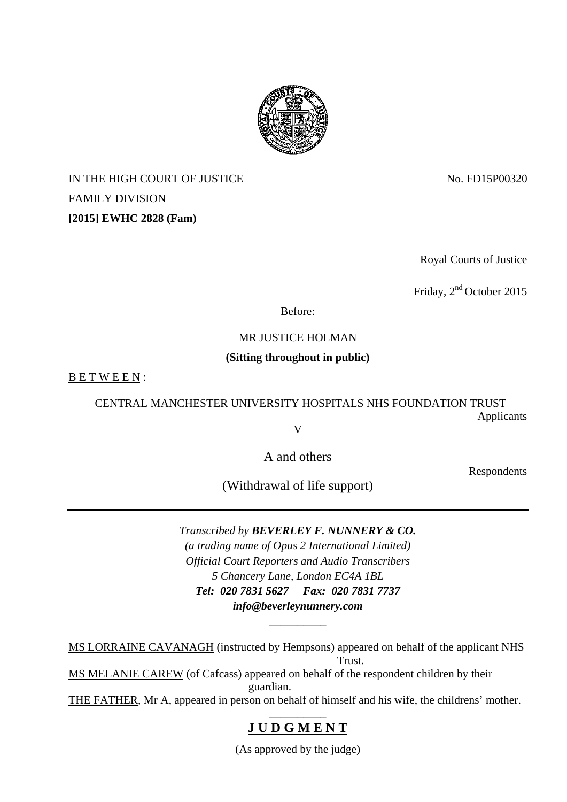

IN THE HIGH COURT OF JUSTICE No. FD15P00320 FAMILY DIVISION **[2015] EWHC 2828 (Fam)** 

Royal Courts of Justice

Friday,  $2<sup>nd</sup>$ October 2015

Before:

# MR JUSTICE HOLMAN

#### **(Sitting throughout in public)**

B E T W E E N :

 CENTRAL MANCHESTER UNIVERSITY HOSPITALS NHS FOUNDATION TRUST Applicants

V

A and others

Respondents

(Withdrawal of life support)

# *Transcribed by BEVERLEY F. NUNNERY & CO.*

*(a trading name of Opus 2 International Limited) Official Court Reporters and Audio Transcribers 5 Chancery Lane, London EC4A 1BL Tel: 020 7831 5627 Fax: 020 7831 7737 info@beverleynunnery.com* 

MS LORRAINE CAVANAGH (instructed by Hempsons) appeared on behalf of the applicant NHS **Trust.** 

\_\_\_\_\_\_\_\_\_\_

MS MELANIE CAREW (of Cafcass) appeared on behalf of the respondent children by their guardian.

THE FATHER, Mr A, appeared in person on behalf of himself and his wife, the childrens' mother.

# \_\_\_\_\_\_\_\_\_\_ **J U D G M E N T**

(As approved by the judge)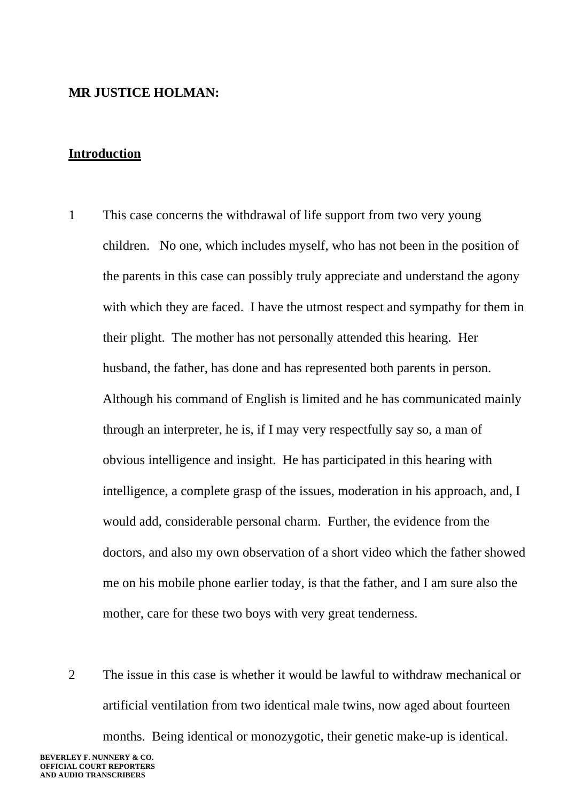# **MR JUSTICE HOLMAN:**

## **Introduction**

- 1 This case concerns the withdrawal of life support from two very young children. No one, which includes myself, who has not been in the position of the parents in this case can possibly truly appreciate and understand the agony with which they are faced. I have the utmost respect and sympathy for them in their plight. The mother has not personally attended this hearing. Her husband, the father, has done and has represented both parents in person. Although his command of English is limited and he has communicated mainly through an interpreter, he is, if I may very respectfully say so, a man of obvious intelligence and insight. He has participated in this hearing with intelligence, a complete grasp of the issues, moderation in his approach, and, I would add, considerable personal charm. Further, the evidence from the doctors, and also my own observation of a short video which the father showed me on his mobile phone earlier today, is that the father, and I am sure also the mother, care for these two boys with very great tenderness.
- 2 The issue in this case is whether it would be lawful to withdraw mechanical or artificial ventilation from two identical male twins, now aged about fourteen months. Being identical or monozygotic, their genetic make-up is identical.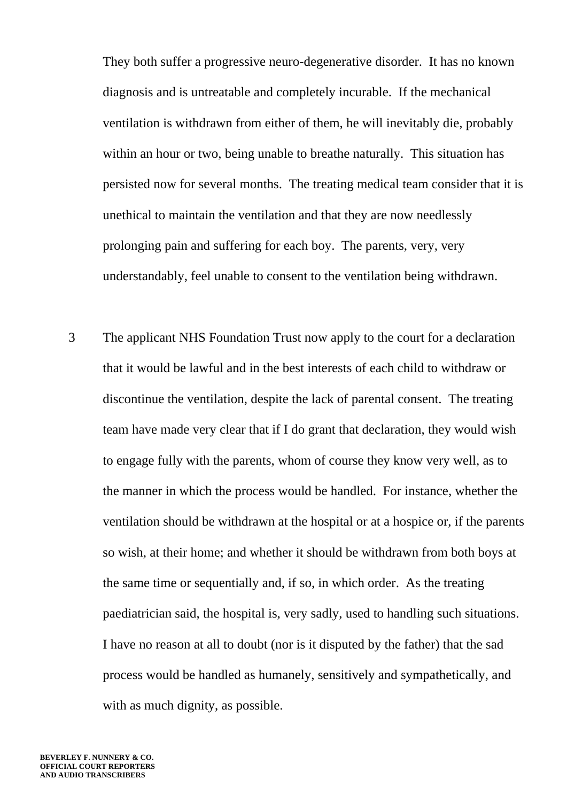They both suffer a progressive neuro-degenerative disorder. It has no known diagnosis and is untreatable and completely incurable. If the mechanical ventilation is withdrawn from either of them, he will inevitably die, probably within an hour or two, being unable to breathe naturally. This situation has persisted now for several months. The treating medical team consider that it is unethical to maintain the ventilation and that they are now needlessly prolonging pain and suffering for each boy. The parents, very, very understandably, feel unable to consent to the ventilation being withdrawn.

3 The applicant NHS Foundation Trust now apply to the court for a declaration that it would be lawful and in the best interests of each child to withdraw or discontinue the ventilation, despite the lack of parental consent. The treating team have made very clear that if I do grant that declaration, they would wish to engage fully with the parents, whom of course they know very well, as to the manner in which the process would be handled. For instance, whether the ventilation should be withdrawn at the hospital or at a hospice or, if the parents so wish, at their home; and whether it should be withdrawn from both boys at the same time or sequentially and, if so, in which order. As the treating paediatrician said, the hospital is, very sadly, used to handling such situations. I have no reason at all to doubt (nor is it disputed by the father) that the sad process would be handled as humanely, sensitively and sympathetically, and with as much dignity, as possible.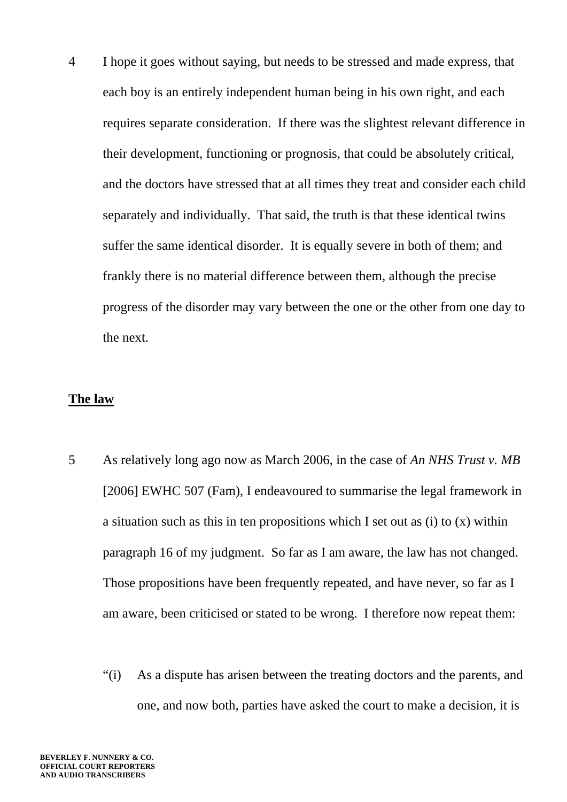4 I hope it goes without saying, but needs to be stressed and made express, that each boy is an entirely independent human being in his own right, and each requires separate consideration. If there was the slightest relevant difference in their development, functioning or prognosis, that could be absolutely critical, and the doctors have stressed that at all times they treat and consider each child separately and individually. That said, the truth is that these identical twins suffer the same identical disorder. It is equally severe in both of them; and frankly there is no material difference between them, although the precise progress of the disorder may vary between the one or the other from one day to the next.

#### **The law**

- 5 As relatively long ago now as March 2006, in the case of *An NHS Trust v. MB* [2006] EWHC 507 (Fam), I endeavoured to summarise the legal framework in a situation such as this in ten propositions which I set out as (i) to (x) within paragraph 16 of my judgment. So far as I am aware, the law has not changed. Those propositions have been frequently repeated, and have never, so far as I am aware, been criticised or stated to be wrong. I therefore now repeat them:
	- "(i) As a dispute has arisen between the treating doctors and the parents, and one, and now both, parties have asked the court to make a decision, it is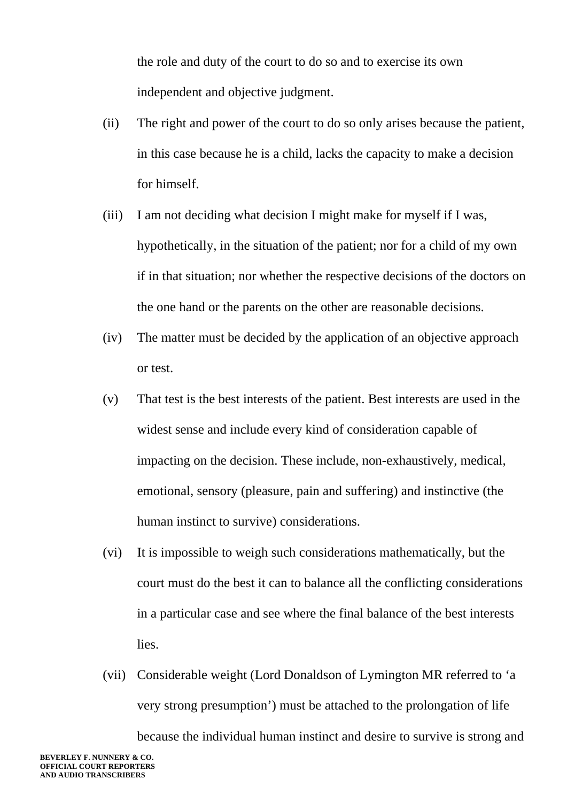the role and duty of the court to do so and to exercise its own independent and objective judgment.

- (ii) The right and power of the court to do so only arises because the patient, in this case because he is a child, lacks the capacity to make a decision for himself.
- (iii) I am not deciding what decision I might make for myself if I was, hypothetically, in the situation of the patient; nor for a child of my own if in that situation; nor whether the respective decisions of the doctors on the one hand or the parents on the other are reasonable decisions.
- (iv) The matter must be decided by the application of an objective approach or test.
- (v) That test is the best interests of the patient. Best interests are used in the widest sense and include every kind of consideration capable of impacting on the decision. These include, non-exhaustively, medical, emotional, sensory (pleasure, pain and suffering) and instinctive (the human instinct to survive) considerations.
- (vi) It is impossible to weigh such considerations mathematically, but the court must do the best it can to balance all the conflicting considerations in a particular case and see where the final balance of the best interests lies.
- (vii) Considerable weight (Lord Donaldson of Lymington MR referred to 'a very strong presumption') must be attached to the prolongation of life because the individual human instinct and desire to survive is strong and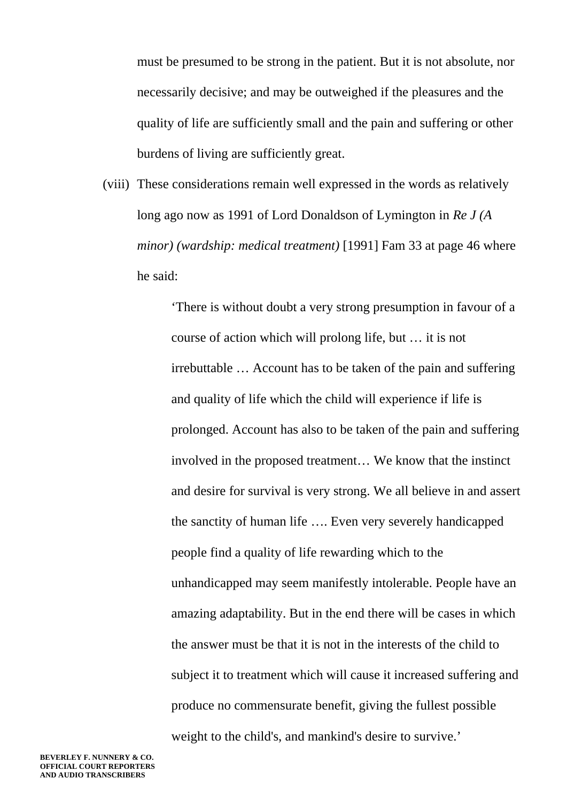must be presumed to be strong in the patient. But it is not absolute, nor necessarily decisive; and may be outweighed if the pleasures and the quality of life are sufficiently small and the pain and suffering or other burdens of living are sufficiently great.

(viii) These considerations remain well expressed in the words as relatively long ago now as 1991 of Lord Donaldson of Lymington in *Re J (A minor) (wardship: medical treatment)* [1991] Fam 33 at page 46 where he said:

> 'There is without doubt a very strong presumption in favour of a course of action which will prolong life, but … it is not irrebuttable … Account has to be taken of the pain and suffering and quality of life which the child will experience if life is prolonged. Account has also to be taken of the pain and suffering involved in the proposed treatment… We know that the instinct and desire for survival is very strong. We all believe in and assert the sanctity of human life …. Even very severely handicapped people find a quality of life rewarding which to the unhandicapped may seem manifestly intolerable. People have an amazing adaptability. But in the end there will be cases in which the answer must be that it is not in the interests of the child to subject it to treatment which will cause it increased suffering and produce no commensurate benefit, giving the fullest possible weight to the child's, and mankind's desire to survive.'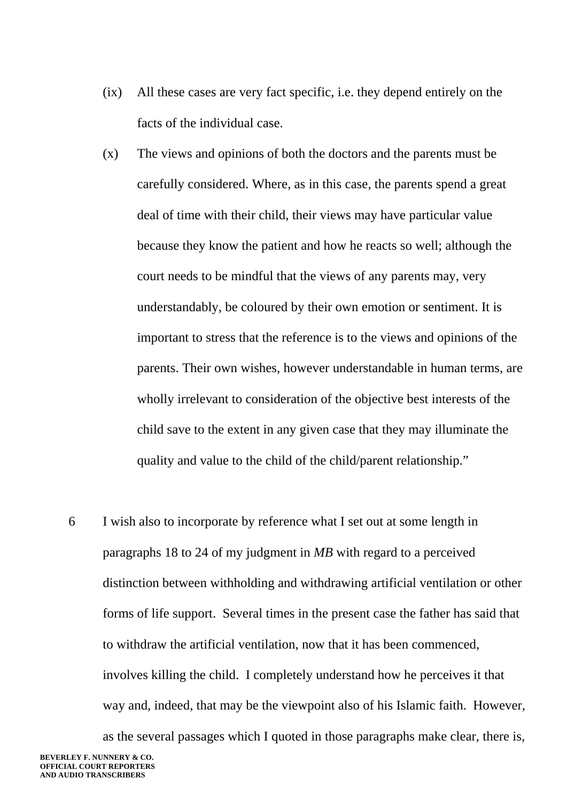- (ix) All these cases are very fact specific, i.e. they depend entirely on the facts of the individual case.
- (x) The views and opinions of both the doctors and the parents must be carefully considered. Where, as in this case, the parents spend a great deal of time with their child, their views may have particular value because they know the patient and how he reacts so well; although the court needs to be mindful that the views of any parents may, very understandably, be coloured by their own emotion or sentiment. It is important to stress that the reference is to the views and opinions of the parents. Their own wishes, however understandable in human terms, are wholly irrelevant to consideration of the objective best interests of the child save to the extent in any given case that they may illuminate the quality and value to the child of the child/parent relationship."
- 6 I wish also to incorporate by reference what I set out at some length in paragraphs 18 to 24 of my judgment in *MB* with regard to a perceived distinction between withholding and withdrawing artificial ventilation or other forms of life support. Several times in the present case the father has said that to withdraw the artificial ventilation, now that it has been commenced, involves killing the child. I completely understand how he perceives it that way and, indeed, that may be the viewpoint also of his Islamic faith. However, as the several passages which I quoted in those paragraphs make clear, there is,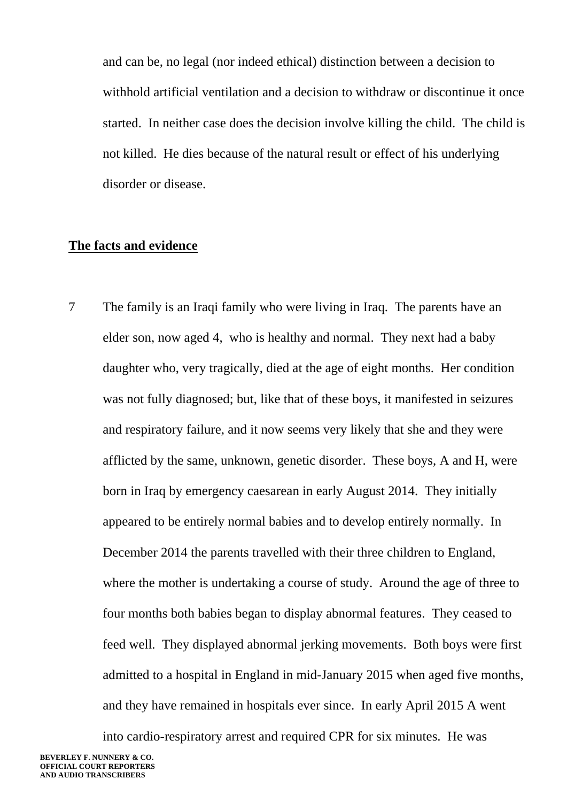and can be, no legal (nor indeed ethical) distinction between a decision to withhold artificial ventilation and a decision to withdraw or discontinue it once started. In neither case does the decision involve killing the child. The child is not killed. He dies because of the natural result or effect of his underlying disorder or disease.

# **The facts and evidence**

7 The family is an Iraqi family who were living in Iraq. The parents have an elder son, now aged 4, who is healthy and normal. They next had a baby daughter who, very tragically, died at the age of eight months. Her condition was not fully diagnosed; but, like that of these boys, it manifested in seizures and respiratory failure, and it now seems very likely that she and they were afflicted by the same, unknown, genetic disorder. These boys, A and H, were born in Iraq by emergency caesarean in early August 2014. They initially appeared to be entirely normal babies and to develop entirely normally. In December 2014 the parents travelled with their three children to England, where the mother is undertaking a course of study. Around the age of three to four months both babies began to display abnormal features. They ceased to feed well. They displayed abnormal jerking movements. Both boys were first admitted to a hospital in England in mid-January 2015 when aged five months, and they have remained in hospitals ever since. In early April 2015 A went into cardio-respiratory arrest and required CPR for six minutes. He was

**BEVERLEY F. NUNNERY & CO. OFFICIAL COURT REPORTERS AND AUDIO TRANSCRIBERS**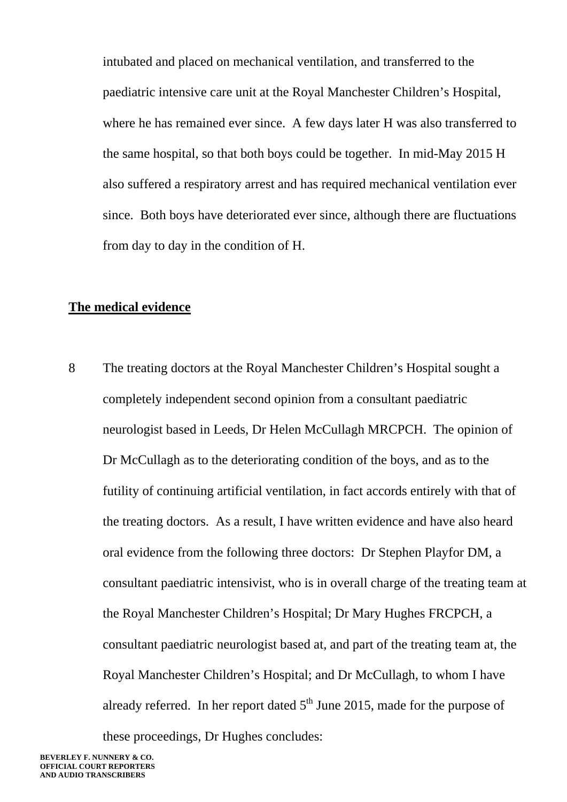intubated and placed on mechanical ventilation, and transferred to the paediatric intensive care unit at the Royal Manchester Children's Hospital, where he has remained ever since. A few days later H was also transferred to the same hospital, so that both boys could be together. In mid-May 2015 H also suffered a respiratory arrest and has required mechanical ventilation ever since. Both boys have deteriorated ever since, although there are fluctuations from day to day in the condition of H.

## **The medical evidence**

8 The treating doctors at the Royal Manchester Children's Hospital sought a completely independent second opinion from a consultant paediatric neurologist based in Leeds, Dr Helen McCullagh MRCPCH. The opinion of Dr McCullagh as to the deteriorating condition of the boys, and as to the futility of continuing artificial ventilation, in fact accords entirely with that of the treating doctors. As a result, I have written evidence and have also heard oral evidence from the following three doctors: Dr Stephen Playfor DM, a consultant paediatric intensivist, who is in overall charge of the treating team at the Royal Manchester Children's Hospital; Dr Mary Hughes FRCPCH, a consultant paediatric neurologist based at, and part of the treating team at, the Royal Manchester Children's Hospital; and Dr McCullagh, to whom I have already referred. In her report dated  $5<sup>th</sup>$  June 2015, made for the purpose of these proceedings, Dr Hughes concludes: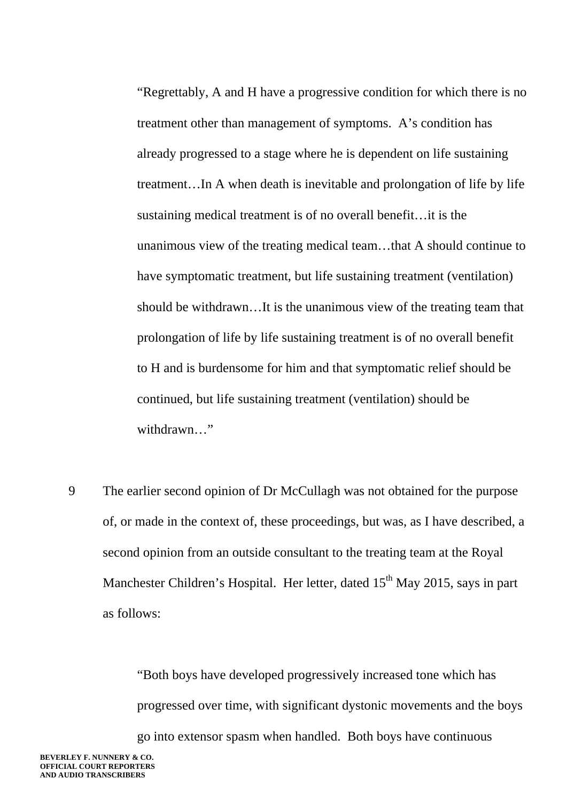"Regrettably, A and H have a progressive condition for which there is no treatment other than management of symptoms. A's condition has already progressed to a stage where he is dependent on life sustaining treatment…In A when death is inevitable and prolongation of life by life sustaining medical treatment is of no overall benefit…it is the unanimous view of the treating medical team…that A should continue to have symptomatic treatment, but life sustaining treatment (ventilation) should be withdrawn…It is the unanimous view of the treating team that prolongation of life by life sustaining treatment is of no overall benefit to H and is burdensome for him and that symptomatic relief should be continued, but life sustaining treatment (ventilation) should be withdrawn…"

9 The earlier second opinion of Dr McCullagh was not obtained for the purpose of, or made in the context of, these proceedings, but was, as I have described, a second opinion from an outside consultant to the treating team at the Royal Manchester Children's Hospital. Her letter, dated  $15<sup>th</sup>$  May 2015, says in part as follows:

> "Both boys have developed progressively increased tone which has progressed over time, with significant dystonic movements and the boys go into extensor spasm when handled. Both boys have continuous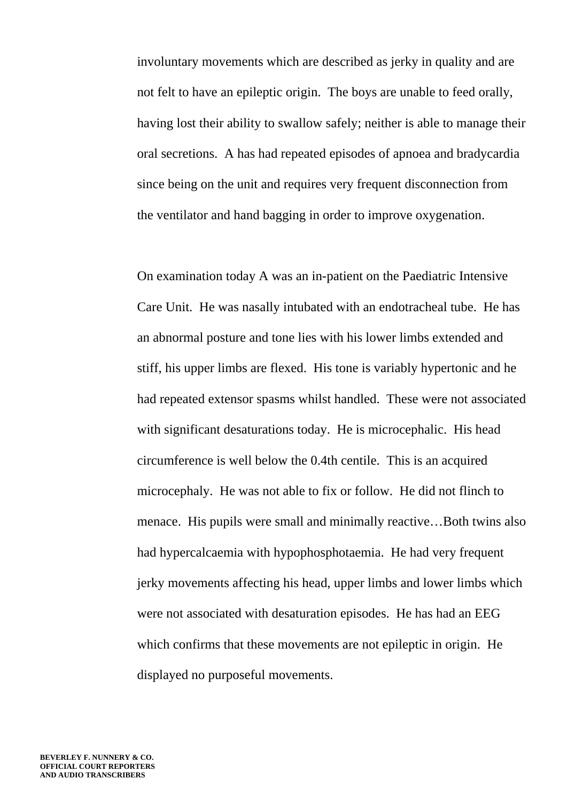involuntary movements which are described as jerky in quality and are not felt to have an epileptic origin. The boys are unable to feed orally, having lost their ability to swallow safely; neither is able to manage their oral secretions. A has had repeated episodes of apnoea and bradycardia since being on the unit and requires very frequent disconnection from the ventilator and hand bagging in order to improve oxygenation.

On examination today A was an in-patient on the Paediatric Intensive Care Unit. He was nasally intubated with an endotracheal tube. He has an abnormal posture and tone lies with his lower limbs extended and stiff, his upper limbs are flexed. His tone is variably hypertonic and he had repeated extensor spasms whilst handled. These were not associated with significant desaturations today. He is microcephalic. His head circumference is well below the 0.4th centile. This is an acquired microcephaly. He was not able to fix or follow. He did not flinch to menace. His pupils were small and minimally reactive…Both twins also had hypercalcaemia with hypophosphotaemia. He had very frequent jerky movements affecting his head, upper limbs and lower limbs which were not associated with desaturation episodes. He has had an EEG which confirms that these movements are not epileptic in origin. He displayed no purposeful movements.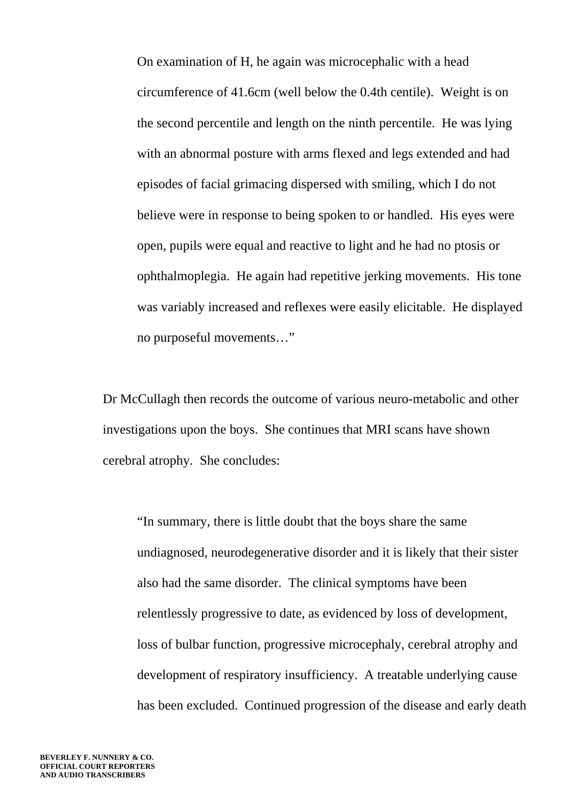On examination of H, he again was microcephalic with a head circumference of 41.6cm (well below the 0.4th centile). Weight is on the second percentile and length on the ninth percentile. He was lying with an abnormal posture with arms flexed and legs extended and had episodes of facial grimacing dispersed with smiling, which I do not believe were in response to being spoken to or handled. His eyes were open, pupils were equal and reactive to light and he had no ptosis or ophthalmoplegia. He again had repetitive jerking movements. His tone was variably increased and reflexes were easily elicitable. He displayed no purposeful movements…"

Dr McCullagh then records the outcome of various neuro-metabolic and other investigations upon the boys. She continues that MRI scans have shown cerebral atrophy. She concludes:

"In summary, there is little doubt that the boys share the same undiagnosed, neurodegenerative disorder and it is likely that their sister also had the same disorder. The clinical symptoms have been relentlessly progressive to date, as evidenced by loss of development, loss of bulbar function, progressive microcephaly, cerebral atrophy and development of respiratory insufficiency. A treatable underlying cause has been excluded. Continued progression of the disease and early death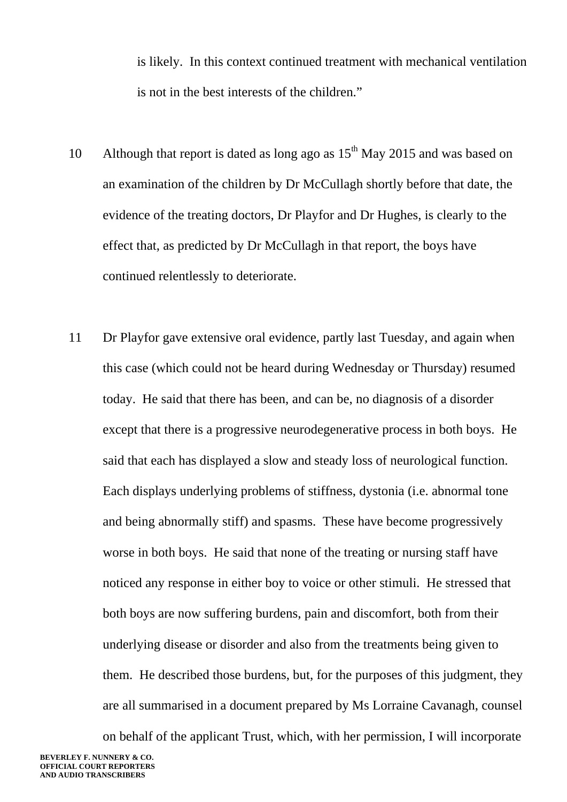is likely. In this context continued treatment with mechanical ventilation is not in the best interests of the children."

- 10 Although that report is dated as long ago as  $15<sup>th</sup>$  May 2015 and was based on an examination of the children by Dr McCullagh shortly before that date, the evidence of the treating doctors, Dr Playfor and Dr Hughes, is clearly to the effect that, as predicted by Dr McCullagh in that report, the boys have continued relentlessly to deteriorate.
- 11 Dr Playfor gave extensive oral evidence, partly last Tuesday, and again when this case (which could not be heard during Wednesday or Thursday) resumed today. He said that there has been, and can be, no diagnosis of a disorder except that there is a progressive neurodegenerative process in both boys. He said that each has displayed a slow and steady loss of neurological function. Each displays underlying problems of stiffness, dystonia (i.e. abnormal tone and being abnormally stiff) and spasms. These have become progressively worse in both boys. He said that none of the treating or nursing staff have noticed any response in either boy to voice or other stimuli. He stressed that both boys are now suffering burdens, pain and discomfort, both from their underlying disease or disorder and also from the treatments being given to them. He described those burdens, but, for the purposes of this judgment, they are all summarised in a document prepared by Ms Lorraine Cavanagh, counsel on behalf of the applicant Trust, which, with her permission, I will incorporate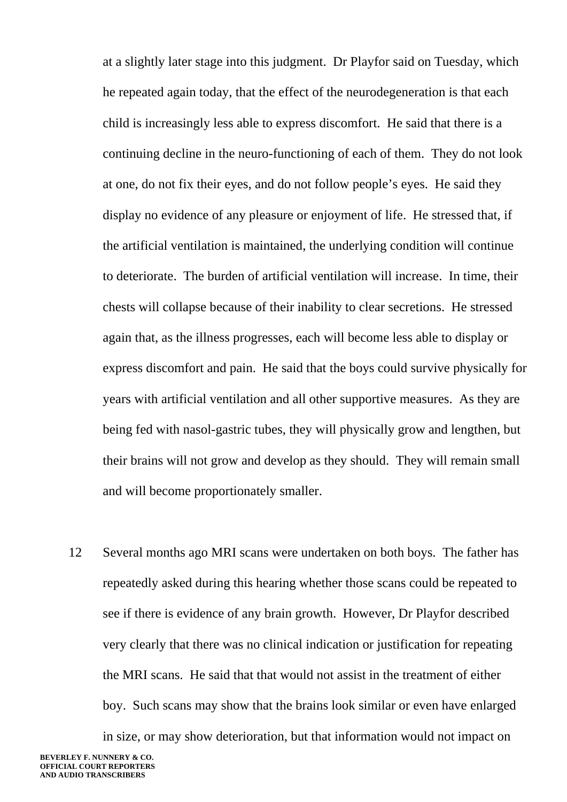at a slightly later stage into this judgment. Dr Playfor said on Tuesday, which he repeated again today, that the effect of the neurodegeneration is that each child is increasingly less able to express discomfort. He said that there is a continuing decline in the neuro-functioning of each of them. They do not look at one, do not fix their eyes, and do not follow people's eyes. He said they display no evidence of any pleasure or enjoyment of life. He stressed that, if the artificial ventilation is maintained, the underlying condition will continue to deteriorate. The burden of artificial ventilation will increase. In time, their chests will collapse because of their inability to clear secretions. He stressed again that, as the illness progresses, each will become less able to display or express discomfort and pain. He said that the boys could survive physically for years with artificial ventilation and all other supportive measures. As they are being fed with nasol-gastric tubes, they will physically grow and lengthen, but their brains will not grow and develop as they should. They will remain small and will become proportionately smaller.

12 Several months ago MRI scans were undertaken on both boys. The father has repeatedly asked during this hearing whether those scans could be repeated to see if there is evidence of any brain growth. However, Dr Playfor described very clearly that there was no clinical indication or justification for repeating the MRI scans. He said that that would not assist in the treatment of either boy. Such scans may show that the brains look similar or even have enlarged in size, or may show deterioration, but that information would not impact on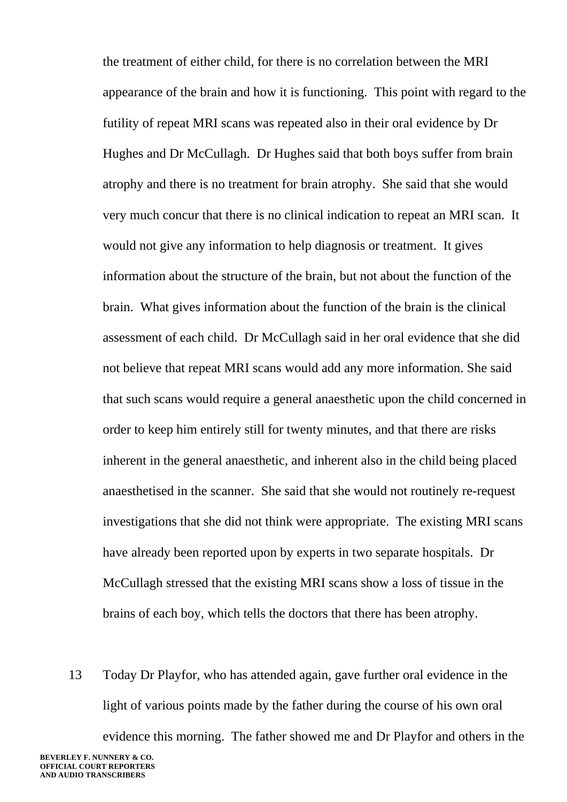the treatment of either child, for there is no correlation between the MRI appearance of the brain and how it is functioning. This point with regard to the futility of repeat MRI scans was repeated also in their oral evidence by Dr Hughes and Dr McCullagh. Dr Hughes said that both boys suffer from brain atrophy and there is no treatment for brain atrophy. She said that she would very much concur that there is no clinical indication to repeat an MRI scan. It would not give any information to help diagnosis or treatment. It gives information about the structure of the brain, but not about the function of the brain. What gives information about the function of the brain is the clinical assessment of each child. Dr McCullagh said in her oral evidence that she did not believe that repeat MRI scans would add any more information. She said that such scans would require a general anaesthetic upon the child concerned in order to keep him entirely still for twenty minutes, and that there are risks inherent in the general anaesthetic, and inherent also in the child being placed anaesthetised in the scanner. She said that she would not routinely re-request investigations that she did not think were appropriate. The existing MRI scans have already been reported upon by experts in two separate hospitals. Dr McCullagh stressed that the existing MRI scans show a loss of tissue in the brains of each boy, which tells the doctors that there has been atrophy.

13 Today Dr Playfor, who has attended again, gave further oral evidence in the light of various points made by the father during the course of his own oral evidence this morning. The father showed me and Dr Playfor and others in the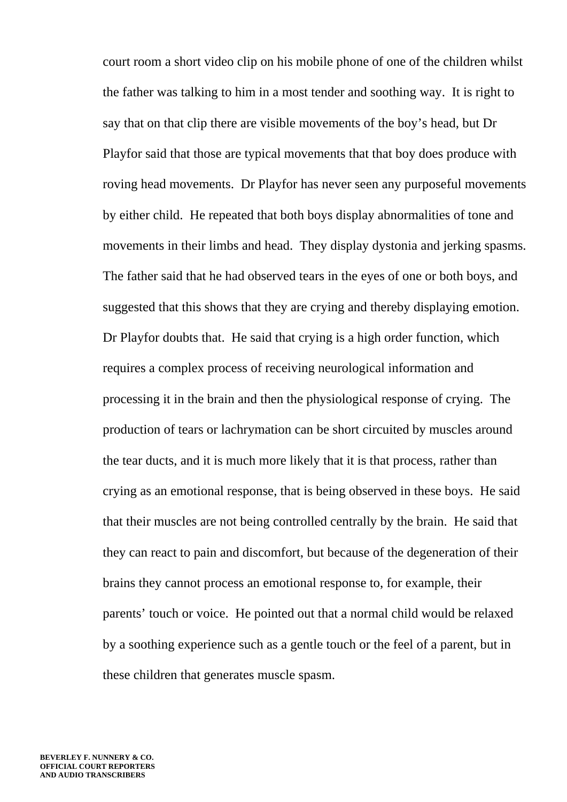court room a short video clip on his mobile phone of one of the children whilst the father was talking to him in a most tender and soothing way. It is right to say that on that clip there are visible movements of the boy's head, but Dr Playfor said that those are typical movements that that boy does produce with roving head movements. Dr Playfor has never seen any purposeful movements by either child. He repeated that both boys display abnormalities of tone and movements in their limbs and head. They display dystonia and jerking spasms. The father said that he had observed tears in the eyes of one or both boys, and suggested that this shows that they are crying and thereby displaying emotion. Dr Playfor doubts that. He said that crying is a high order function, which requires a complex process of receiving neurological information and processing it in the brain and then the physiological response of crying. The production of tears or lachrymation can be short circuited by muscles around the tear ducts, and it is much more likely that it is that process, rather than crying as an emotional response, that is being observed in these boys. He said that their muscles are not being controlled centrally by the brain. He said that they can react to pain and discomfort, but because of the degeneration of their brains they cannot process an emotional response to, for example, their parents' touch or voice. He pointed out that a normal child would be relaxed by a soothing experience such as a gentle touch or the feel of a parent, but in these children that generates muscle spasm.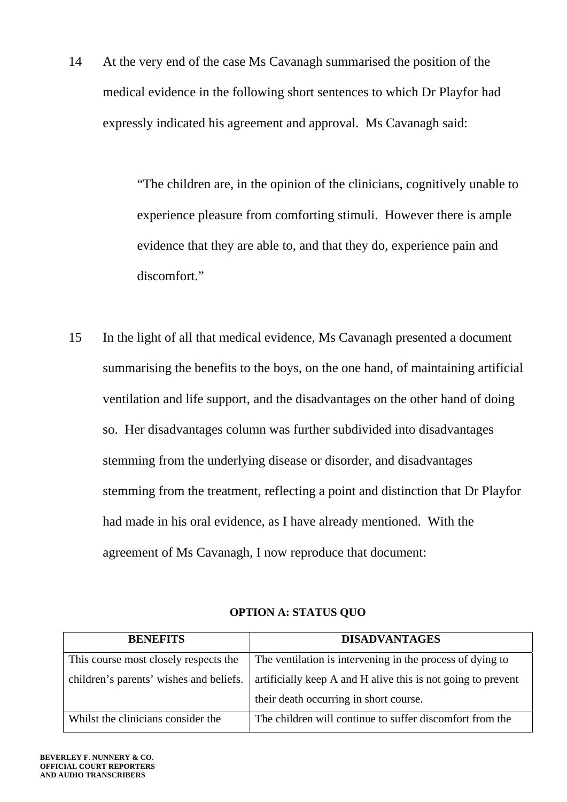14 At the very end of the case Ms Cavanagh summarised the position of the medical evidence in the following short sentences to which Dr Playfor had expressly indicated his agreement and approval. Ms Cavanagh said:

> "The children are, in the opinion of the clinicians, cognitively unable to experience pleasure from comforting stimuli. However there is ample evidence that they are able to, and that they do, experience pain and discomfort."

15 In the light of all that medical evidence, Ms Cavanagh presented a document summarising the benefits to the boys, on the one hand, of maintaining artificial ventilation and life support, and the disadvantages on the other hand of doing so. Her disadvantages column was further subdivided into disadvantages stemming from the underlying disease or disorder, and disadvantages stemming from the treatment, reflecting a point and distinction that Dr Playfor had made in his oral evidence, as I have already mentioned. With the agreement of Ms Cavanagh, I now reproduce that document:

| <b>BENEFITS</b>                         | <b>DISADVANTAGES</b>                                         |
|-----------------------------------------|--------------------------------------------------------------|
| This course most closely respects the   | The ventilation is intervening in the process of dying to    |
| children's parents' wishes and beliefs. | artificially keep A and H alive this is not going to prevent |
|                                         | their death occurring in short course.                       |
| Whilst the clinicians consider the      | The children will continue to suffer discomfort from the     |

#### **OPTION A: STATUS QUO**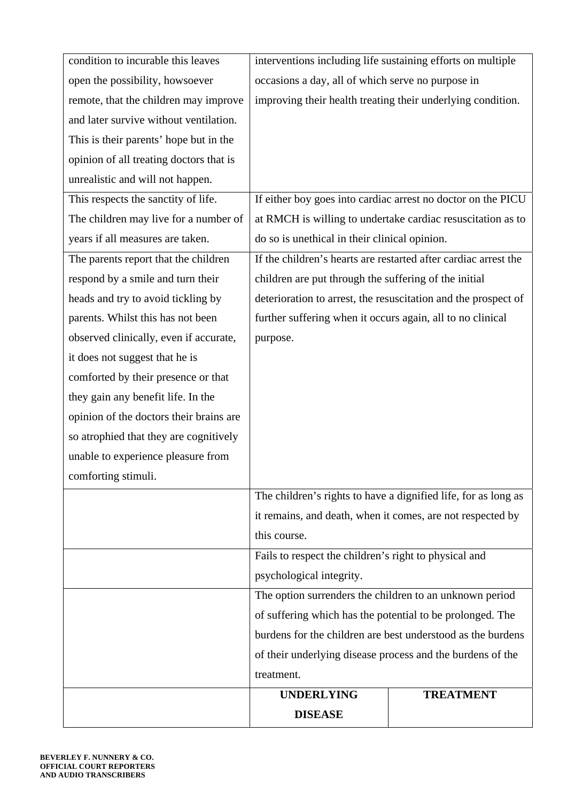| condition to incurable this leaves      | interventions including life sustaining efforts on multiple    |                                                                 |  |
|-----------------------------------------|----------------------------------------------------------------|-----------------------------------------------------------------|--|
| open the possibility, howsoever         | occasions a day, all of which serve no purpose in              |                                                                 |  |
| remote, that the children may improve   |                                                                | improving their health treating their underlying condition.     |  |
| and later survive without ventilation.  |                                                                |                                                                 |  |
| This is their parents' hope but in the  |                                                                |                                                                 |  |
| opinion of all treating doctors that is |                                                                |                                                                 |  |
| unrealistic and will not happen.        |                                                                |                                                                 |  |
| This respects the sanctity of life.     |                                                                | If either boy goes into cardiac arrest no doctor on the PICU    |  |
| The children may live for a number of   |                                                                | at RMCH is willing to undertake cardiac resuscitation as to     |  |
| years if all measures are taken.        | do so is unethical in their clinical opinion.                  |                                                                 |  |
| The parents report that the children    |                                                                | If the children's hearts are restarted after cardiac arrest the |  |
| respond by a smile and turn their       | children are put through the suffering of the initial          |                                                                 |  |
| heads and try to avoid tickling by      | deterioration to arrest, the resuscitation and the prospect of |                                                                 |  |
| parents. Whilst this has not been       | further suffering when it occurs again, all to no clinical     |                                                                 |  |
| observed clinically, even if accurate,  | purpose.                                                       |                                                                 |  |
| it does not suggest that he is          |                                                                |                                                                 |  |
| comforted by their presence or that     |                                                                |                                                                 |  |
| they gain any benefit life. In the      |                                                                |                                                                 |  |
| opinion of the doctors their brains are |                                                                |                                                                 |  |
| so atrophied that they are cognitively  |                                                                |                                                                 |  |
| unable to experience pleasure from      |                                                                |                                                                 |  |
| comforting stimuli.                     |                                                                |                                                                 |  |
|                                         | The children's rights to have a dignified life, for as long as |                                                                 |  |
|                                         | it remains, and death, when it comes, are not respected by     |                                                                 |  |
|                                         | this course.                                                   |                                                                 |  |
|                                         | Fails to respect the children's right to physical and          |                                                                 |  |
|                                         | psychological integrity.                                       |                                                                 |  |
|                                         | The option surrenders the children to an unknown period        |                                                                 |  |
|                                         | of suffering which has the potential to be prolonged. The      |                                                                 |  |
|                                         | burdens for the children are best understood as the burdens    |                                                                 |  |
|                                         | of their underlying disease process and the burdens of the     |                                                                 |  |
|                                         | treatment.                                                     |                                                                 |  |
|                                         | <b>UNDERLYING</b>                                              | <b>TREATMENT</b>                                                |  |
|                                         | <b>DISEASE</b>                                                 |                                                                 |  |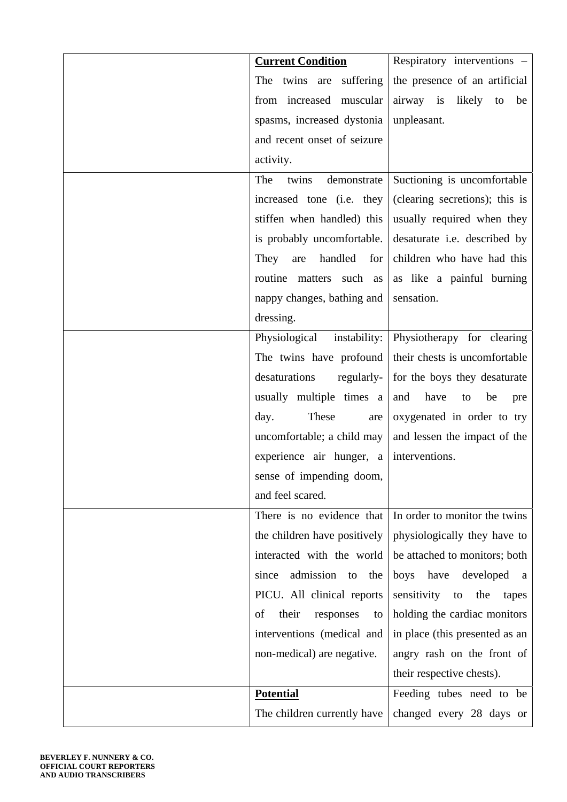| <b>Current Condition</b>       | Respiratory interventions –     |
|--------------------------------|---------------------------------|
| The twins are suffering        | the presence of an artificial   |
| from increased muscular        | airway is<br>likely<br>to<br>be |
| spasms, increased dystonia     | unpleasant.                     |
| and recent onset of seizure    |                                 |
| activity.                      |                                 |
| The<br>twins<br>demonstrate    | Suctioning is uncomfortable     |
| increased tone (i.e. they      | (clearing secretions); this is  |
| stiffen when handled) this     | usually required when they      |
| is probably uncomfortable.     | desaturate i.e. described by    |
| handled<br>for<br>They<br>are  | children who have had this      |
| routine matters such as        | as like a painful burning       |
| nappy changes, bathing and     | sensation.                      |
| dressing.                      |                                 |
| Physiological<br>instability:  | Physiotherapy for clearing      |
| The twins have profound        | their chests is uncomfortable   |
| desaturations<br>regularly-    | for the boys they desaturate    |
| usually multiple times a       | have<br>and<br>to<br>be<br>pre  |
| These<br>day.<br>are           | oxygenated in order to try      |
| uncomfortable; a child may     | and lessen the impact of the    |
| experience air hunger, a       | interventions.                  |
| sense of impending doom,       |                                 |
| and feel scared.               |                                 |
| There is no evidence that      | In order to monitor the twins   |
| the children have positively   | physiologically they have to    |
| interacted with the world      | be attached to monitors; both   |
| admission to<br>since<br>the   | have<br>boys<br>developed a     |
| PICU. All clinical reports     | sensitivity to<br>the<br>tapes  |
| their<br>of<br>responses<br>to | holding the cardiac monitors    |
| interventions (medical and     | in place (this presented as an  |
| non-medical) are negative.     | angry rash on the front of      |
|                                | their respective chests).       |
| <b>Potential</b>               | Feeding tubes need to be        |
| The children currently have    | changed every 28 days or        |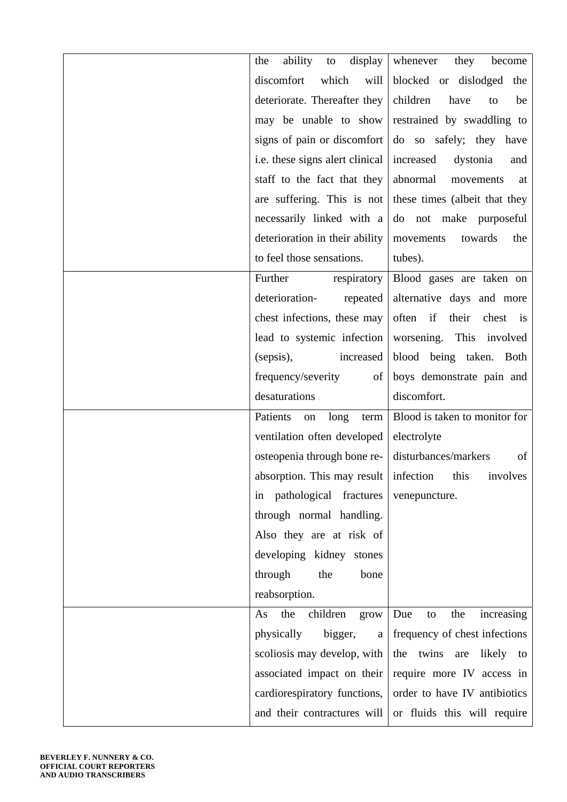| display<br>ability<br>the<br>to       | whenever<br>they<br>become                          |
|---------------------------------------|-----------------------------------------------------|
| discomfort<br>which<br>will           | blocked or dislodged<br>the                         |
| deteriorate. Thereafter they          | children<br>have<br>be<br>to                        |
| may be unable to show                 | restrained by swaddling to                          |
| signs of pain or discomfort           | do so safely; they have                             |
| i.e. these signs alert clinical       | increased<br>dystonia<br>and                        |
| staff to the fact that they           | abnormal<br>movements<br>at                         |
| are suffering. This is not            | these times (albeit that they                       |
| necessarily linked with a             | do not make purposeful                              |
| deterioration in their ability        | towards<br>movements<br>the                         |
| to feel those sensations.             | tubes).                                             |
| Further<br>respiratory                | Blood gases are taken on                            |
| deterioration-<br>repeated            | alternative days and more                           |
| chest infections, these may           | often if<br>their<br>chest<br>$\frac{1}{1}$         |
| lead to systemic infection            | worsening. This involved                            |
| increased<br>(sepsis),                | blood being taken. Both                             |
| frequency/severity<br>of              | boys demonstrate pain and                           |
| desaturations                         | discomfort.                                         |
| Patients<br>long<br>term<br>on        | Blood is taken to monitor for                       |
| ventilation often developed           | electrolyte                                         |
| osteopenia through bone re-           | disturbances/markers<br>of                          |
|                                       | absorption. This may result infection this involves |
| in pathological fractures             | venepuncture.                                       |
|                                       |                                                     |
| through normal handling.              |                                                     |
| Also they are at risk of              |                                                     |
| developing kidney stones              |                                                     |
| through<br>the<br>bone                |                                                     |
| reabsorption.                         |                                                     |
| the<br>children<br>As<br>grow         | Due<br>the<br>increasing<br>to                      |
| physically<br>bigger,<br>$\mathbf{a}$ | frequency of chest infections                       |
| scoliosis may develop, with           | the twins are likely to                             |
| associated impact on their            | require more IV access in                           |
| cardiorespiratory functions,          | order to have IV antibiotics                        |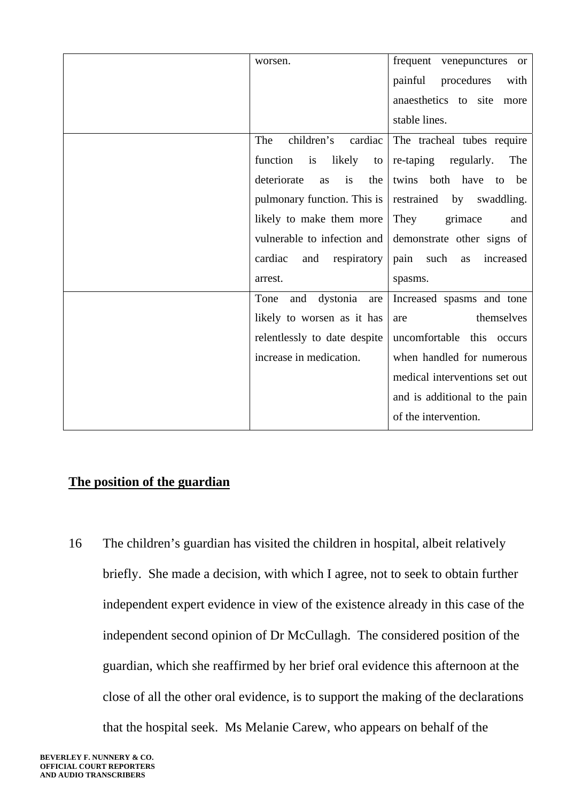| worsen.                        | frequent venepunctures or       |
|--------------------------------|---------------------------------|
|                                | painful<br>procedures<br>with   |
|                                | anaesthetics to site<br>more    |
|                                | stable lines.                   |
| children's<br>The<br>cardiac   | The tracheal tubes require      |
| function<br>likely<br>is<br>to | re-taping<br>regularly.<br>The  |
| deteriorate<br>is<br>the<br>as | both have<br>twins<br>to<br>be  |
| pulmonary function. This is    | restrained by<br>swaddling.     |
| likely to make them more       | They<br>grimace<br>and          |
| vulnerable to infection and    | demonstrate other signs of      |
| cardiac<br>respiratory<br>and  | pain<br>such<br>increased<br>as |
| arrest.                        | spasms.                         |
| dystonia<br>Tone<br>and<br>are | Increased spasms and tone       |
| likely to worsen as it has     | themselves<br>are               |
| relentlessly to date despite   | uncomfortable this occurs       |
| increase in medication.        | when handled for numerous       |
|                                | medical interventions set out   |
|                                | and is additional to the pain   |
|                                | of the intervention.            |

# **The position of the guardian**

16 The children's guardian has visited the children in hospital, albeit relatively briefly. She made a decision, with which I agree, not to seek to obtain further independent expert evidence in view of the existence already in this case of the independent second opinion of Dr McCullagh. The considered position of the guardian, which she reaffirmed by her brief oral evidence this afternoon at the close of all the other oral evidence, is to support the making of the declarations that the hospital seek. Ms Melanie Carew, who appears on behalf of the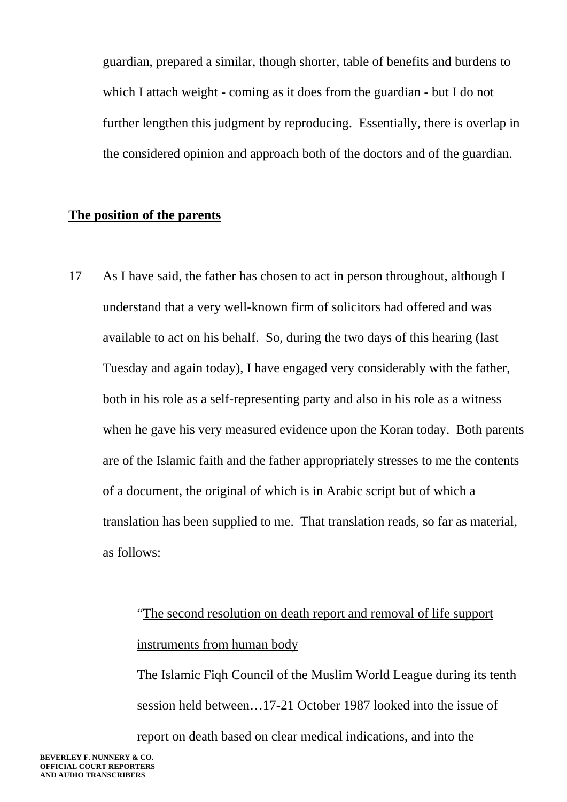guardian, prepared a similar, though shorter, table of benefits and burdens to which I attach weight - coming as it does from the guardian - but I do not further lengthen this judgment by reproducing. Essentially, there is overlap in the considered opinion and approach both of the doctors and of the guardian.

## **The position of the parents**

17 As I have said, the father has chosen to act in person throughout, although I understand that a very well-known firm of solicitors had offered and was available to act on his behalf. So, during the two days of this hearing (last Tuesday and again today), I have engaged very considerably with the father, both in his role as a self-representing party and also in his role as a witness when he gave his very measured evidence upon the Koran today. Both parents are of the Islamic faith and the father appropriately stresses to me the contents of a document, the original of which is in Arabic script but of which a translation has been supplied to me. That translation reads, so far as material, as follows:

# "The second resolution on death report and removal of life support instruments from human body

The Islamic Fiqh Council of the Muslim World League during its tenth session held between…17-21 October 1987 looked into the issue of report on death based on clear medical indications, and into the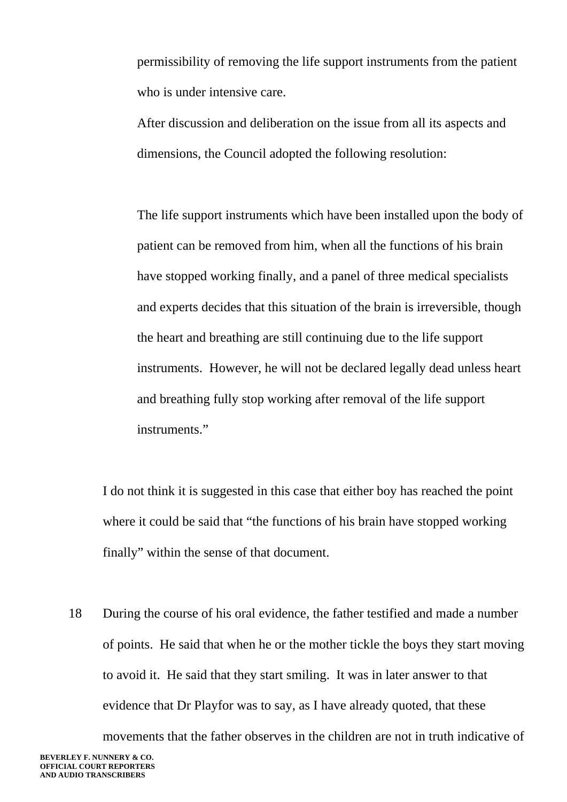permissibility of removing the life support instruments from the patient who is under intensive care.

After discussion and deliberation on the issue from all its aspects and dimensions, the Council adopted the following resolution:

The life support instruments which have been installed upon the body of patient can be removed from him, when all the functions of his brain have stopped working finally, and a panel of three medical specialists and experts decides that this situation of the brain is irreversible, though the heart and breathing are still continuing due to the life support instruments. However, he will not be declared legally dead unless heart and breathing fully stop working after removal of the life support instruments."

I do not think it is suggested in this case that either boy has reached the point where it could be said that "the functions of his brain have stopped working finally" within the sense of that document.

18 During the course of his oral evidence, the father testified and made a number of points. He said that when he or the mother tickle the boys they start moving to avoid it. He said that they start smiling. It was in later answer to that evidence that Dr Playfor was to say, as I have already quoted, that these movements that the father observes in the children are not in truth indicative of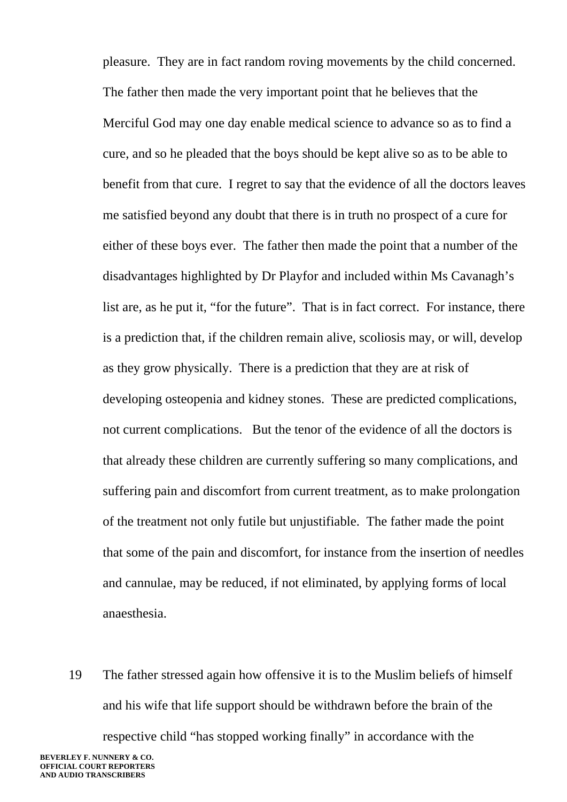pleasure. They are in fact random roving movements by the child concerned. The father then made the very important point that he believes that the Merciful God may one day enable medical science to advance so as to find a cure, and so he pleaded that the boys should be kept alive so as to be able to benefit from that cure. I regret to say that the evidence of all the doctors leaves me satisfied beyond any doubt that there is in truth no prospect of a cure for either of these boys ever. The father then made the point that a number of the disadvantages highlighted by Dr Playfor and included within Ms Cavanagh's list are, as he put it, "for the future". That is in fact correct. For instance, there is a prediction that, if the children remain alive, scoliosis may, or will, develop as they grow physically. There is a prediction that they are at risk of developing osteopenia and kidney stones. These are predicted complications, not current complications. But the tenor of the evidence of all the doctors is that already these children are currently suffering so many complications, and suffering pain and discomfort from current treatment, as to make prolongation of the treatment not only futile but unjustifiable. The father made the point that some of the pain and discomfort, for instance from the insertion of needles and cannulae, may be reduced, if not eliminated, by applying forms of local anaesthesia.

19 The father stressed again how offensive it is to the Muslim beliefs of himself and his wife that life support should be withdrawn before the brain of the respective child "has stopped working finally" in accordance with the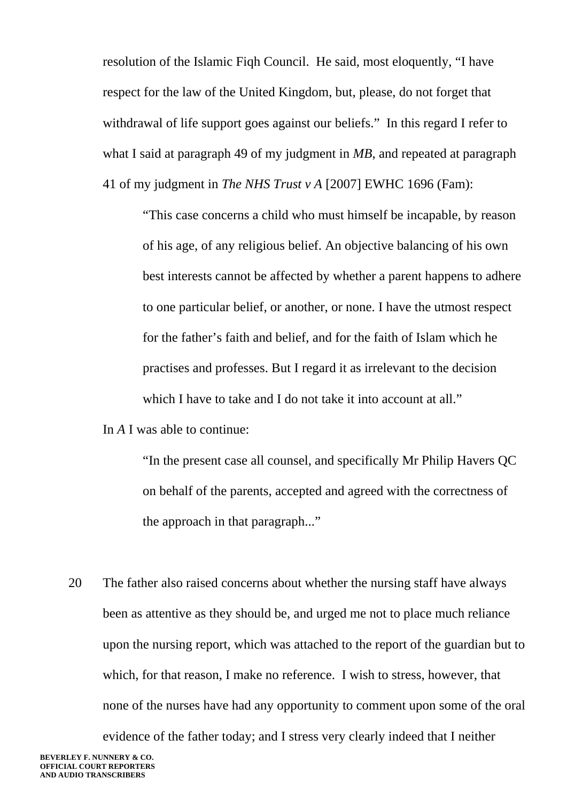resolution of the Islamic Fiqh Council. He said, most eloquently, "I have respect for the law of the United Kingdom, but, please, do not forget that withdrawal of life support goes against our beliefs." In this regard I refer to what I said at paragraph 49 of my judgment in *MB*, and repeated at paragraph 41 of my judgment in *The NHS Trust v A* [2007] EWHC 1696 (Fam):

 "This case concerns a child who must himself be incapable, by reason of his age, of any religious belief. An objective balancing of his own best interests cannot be affected by whether a parent happens to adhere to one particular belief, or another, or none. I have the utmost respect for the father's faith and belief, and for the faith of Islam which he practises and professes. But I regard it as irrelevant to the decision which I have to take and I do not take it into account at all."

In *A* I was able to continue:

"In the present case all counsel, and specifically Mr Philip Havers QC on behalf of the parents, accepted and agreed with the correctness of the approach in that paragraph..."

20 The father also raised concerns about whether the nursing staff have always been as attentive as they should be, and urged me not to place much reliance upon the nursing report, which was attached to the report of the guardian but to which, for that reason, I make no reference. I wish to stress, however, that none of the nurses have had any opportunity to comment upon some of the oral evidence of the father today; and I stress very clearly indeed that I neither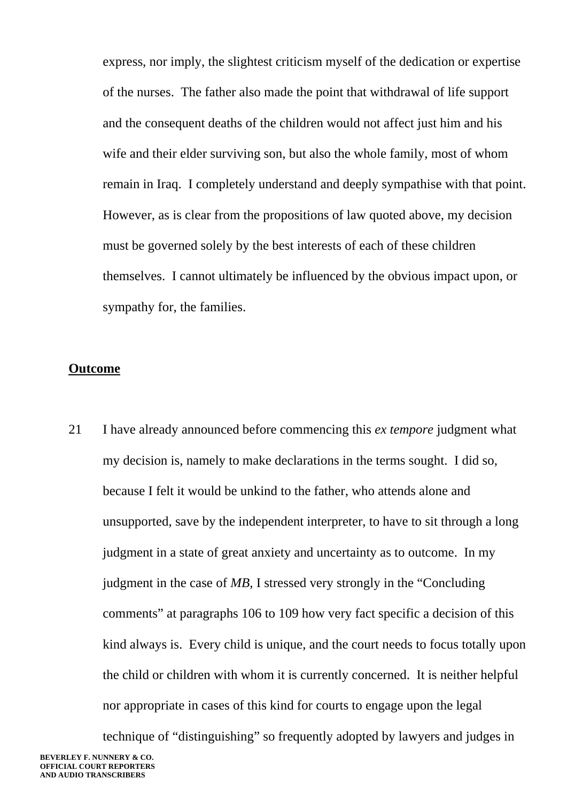express, nor imply, the slightest criticism myself of the dedication or expertise of the nurses. The father also made the point that withdrawal of life support and the consequent deaths of the children would not affect just him and his wife and their elder surviving son, but also the whole family, most of whom remain in Iraq. I completely understand and deeply sympathise with that point. However, as is clear from the propositions of law quoted above, my decision must be governed solely by the best interests of each of these children themselves. I cannot ultimately be influenced by the obvious impact upon, or sympathy for, the families.

#### **Outcome**

21 I have already announced before commencing this *ex tempore* judgment what my decision is, namely to make declarations in the terms sought. I did so, because I felt it would be unkind to the father, who attends alone and unsupported, save by the independent interpreter, to have to sit through a long judgment in a state of great anxiety and uncertainty as to outcome. In my judgment in the case of *MB*, I stressed very strongly in the "Concluding comments" at paragraphs 106 to 109 how very fact specific a decision of this kind always is. Every child is unique, and the court needs to focus totally upon the child or children with whom it is currently concerned. It is neither helpful nor appropriate in cases of this kind for courts to engage upon the legal technique of "distinguishing" so frequently adopted by lawyers and judges in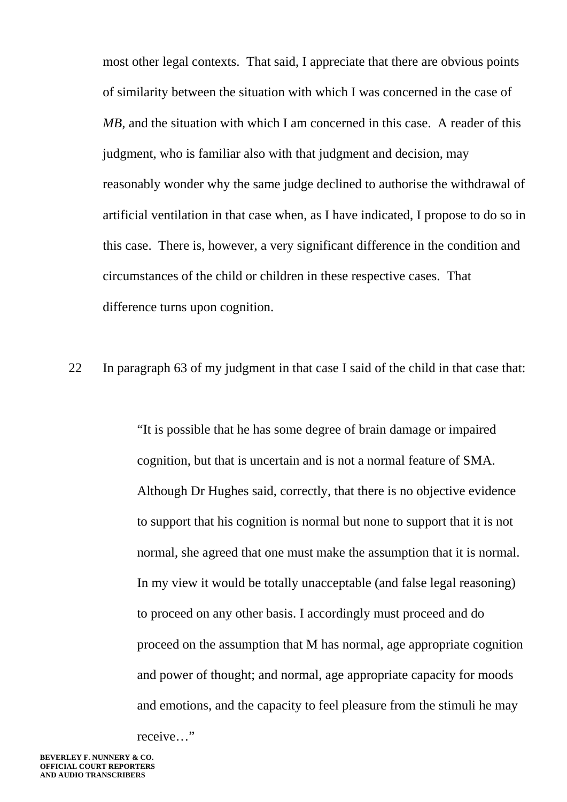most other legal contexts. That said, I appreciate that there are obvious points of similarity between the situation with which I was concerned in the case of *MB*, and the situation with which I am concerned in this case. A reader of this judgment, who is familiar also with that judgment and decision, may reasonably wonder why the same judge declined to authorise the withdrawal of artificial ventilation in that case when, as I have indicated, I propose to do so in this case. There is, however, a very significant difference in the condition and circumstances of the child or children in these respective cases. That difference turns upon cognition.

22 In paragraph 63 of my judgment in that case I said of the child in that case that:

"It is possible that he has some degree of brain damage or impaired cognition, but that is uncertain and is not a normal feature of SMA. Although Dr Hughes said, correctly, that there is no objective evidence to support that his cognition is normal but none to support that it is not normal, she agreed that one must make the assumption that it is normal. In my view it would be totally unacceptable (and false legal reasoning) to proceed on any other basis. I accordingly must proceed and do proceed on the assumption that M has normal, age appropriate cognition and power of thought; and normal, age appropriate capacity for moods and emotions, and the capacity to feel pleasure from the stimuli he may

receive…"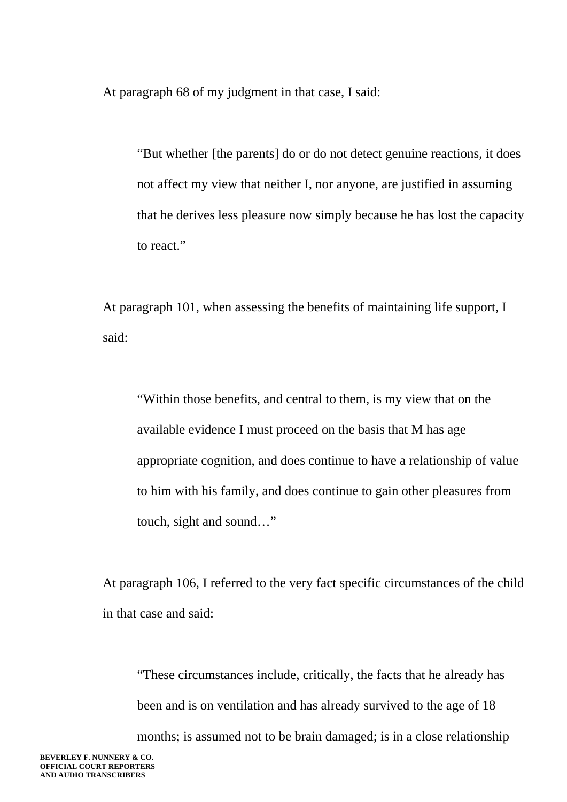At paragraph 68 of my judgment in that case, I said:

"But whether [the parents] do or do not detect genuine reactions, it does not affect my view that neither I, nor anyone, are justified in assuming that he derives less pleasure now simply because he has lost the capacity to react."

At paragraph 101, when assessing the benefits of maintaining life support, I said:

"Within those benefits, and central to them, is my view that on the available evidence I must proceed on the basis that M has age appropriate cognition, and does continue to have a relationship of value to him with his family, and does continue to gain other pleasures from touch, sight and sound…"

At paragraph 106, I referred to the very fact specific circumstances of the child in that case and said:

"These circumstances include, critically, the facts that he already has been and is on ventilation and has already survived to the age of 18 months; is assumed not to be brain damaged; is in a close relationship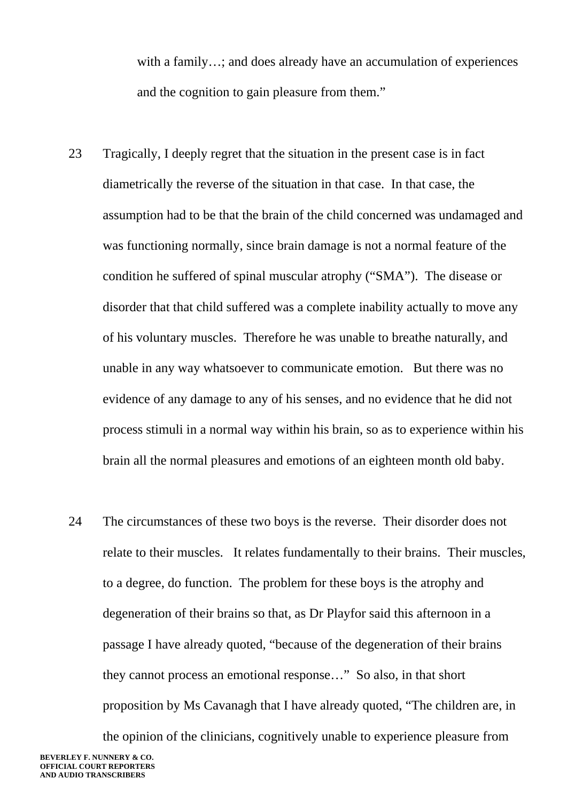with a family...; and does already have an accumulation of experiences and the cognition to gain pleasure from them."

- 23 Tragically, I deeply regret that the situation in the present case is in fact diametrically the reverse of the situation in that case. In that case, the assumption had to be that the brain of the child concerned was undamaged and was functioning normally, since brain damage is not a normal feature of the condition he suffered of spinal muscular atrophy ("SMA"). The disease or disorder that that child suffered was a complete inability actually to move any of his voluntary muscles. Therefore he was unable to breathe naturally, and unable in any way whatsoever to communicate emotion. But there was no evidence of any damage to any of his senses, and no evidence that he did not process stimuli in a normal way within his brain, so as to experience within his brain all the normal pleasures and emotions of an eighteen month old baby.
- 24 The circumstances of these two boys is the reverse. Their disorder does not relate to their muscles. It relates fundamentally to their brains. Their muscles, to a degree, do function. The problem for these boys is the atrophy and degeneration of their brains so that, as Dr Playfor said this afternoon in a passage I have already quoted, "because of the degeneration of their brains they cannot process an emotional response…" So also, in that short proposition by Ms Cavanagh that I have already quoted, "The children are, in the opinion of the clinicians, cognitively unable to experience pleasure from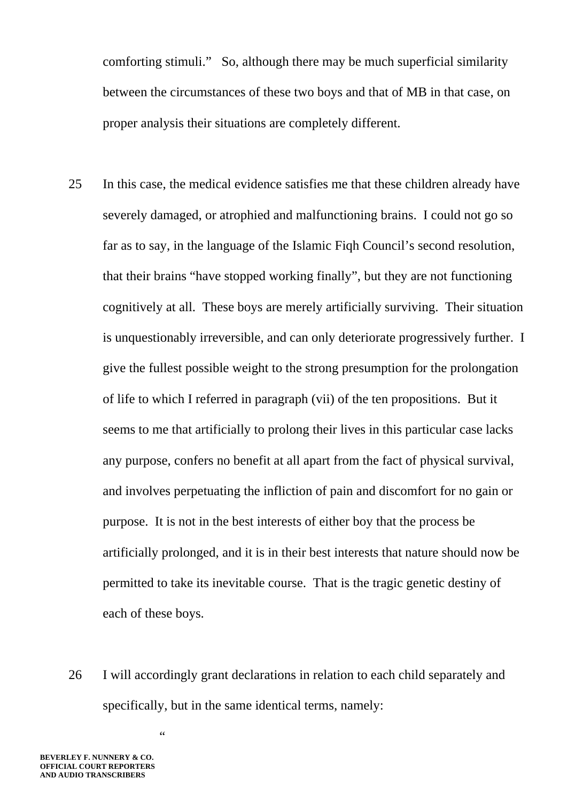comforting stimuli." So, although there may be much superficial similarity between the circumstances of these two boys and that of MB in that case, on proper analysis their situations are completely different.

- 25 In this case, the medical evidence satisfies me that these children already have severely damaged, or atrophied and malfunctioning brains. I could not go so far as to say, in the language of the Islamic Fiqh Council's second resolution, that their brains "have stopped working finally", but they are not functioning cognitively at all. These boys are merely artificially surviving. Their situation is unquestionably irreversible, and can only deteriorate progressively further. I give the fullest possible weight to the strong presumption for the prolongation of life to which I referred in paragraph (vii) of the ten propositions. But it seems to me that artificially to prolong their lives in this particular case lacks any purpose, confers no benefit at all apart from the fact of physical survival, and involves perpetuating the infliction of pain and discomfort for no gain or purpose. It is not in the best interests of either boy that the process be artificially prolonged, and it is in their best interests that nature should now be permitted to take its inevitable course. That is the tragic genetic destiny of each of these boys.
- 26 I will accordingly grant declarations in relation to each child separately and specifically, but in the same identical terms, namely:

**BEVERLEY F. NUNNERY & CO. OFFICIAL COURT REPORTERS AND AUDIO TRANSCRIBERS** 

" (1992) (1994) (1994) (1994) (1994) (1994) (1994) (1994) (1994) (1994) (1994) (1994) (1994) (1994) (1994) (19<br>1995 (1994) (1994) (1994) (1994) (1994) (1994) (1994) (1994) (1994) (1994) (1994) (1994) (1994) (1994) (1994)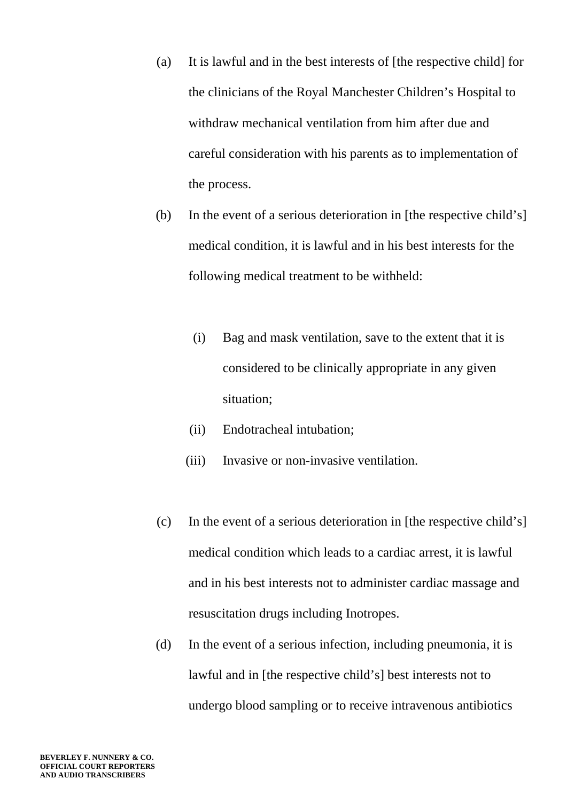- (a) It is lawful and in the best interests of [the respective child] for the clinicians of the Royal Manchester Children's Hospital to withdraw mechanical ventilation from him after due and careful consideration with his parents as to implementation of the process.
- (b) In the event of a serious deterioration in [the respective child's] medical condition, it is lawful and in his best interests for the following medical treatment to be withheld:
	- (i) Bag and mask ventilation, save to the extent that it is considered to be clinically appropriate in any given situation;
	- (ii) Endotracheal intubation;
	- (iii) Invasive or non-invasive ventilation.
- (c) In the event of a serious deterioration in [the respective child's] medical condition which leads to a cardiac arrest, it is lawful and in his best interests not to administer cardiac massage and resuscitation drugs including Inotropes.
- (d) In the event of a serious infection, including pneumonia, it is lawful and in [the respective child's] best interests not to undergo blood sampling or to receive intravenous antibiotics